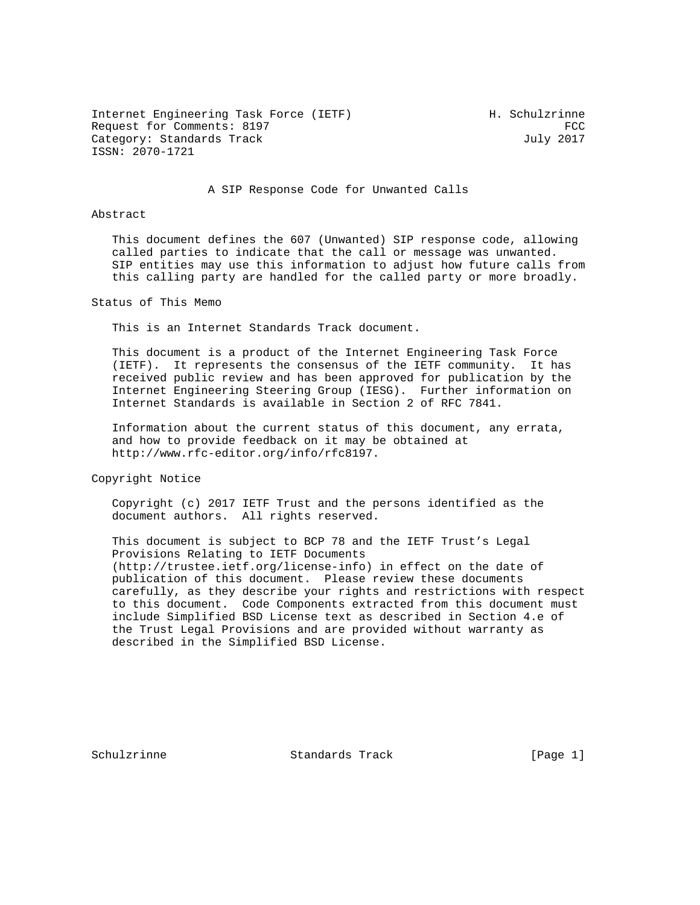Internet Engineering Task Force (IETF) The Muslim H. Schulzrinne Request for Comments: 8197 FCC<br>Category: Standards Track Form and Track Form of Tuly 2017 Category: Standards Track ISSN: 2070-1721

#### A SIP Response Code for Unwanted Calls

### Abstract

 This document defines the 607 (Unwanted) SIP response code, allowing called parties to indicate that the call or message was unwanted. SIP entities may use this information to adjust how future calls from this calling party are handled for the called party or more broadly.

Status of This Memo

This is an Internet Standards Track document.

 This document is a product of the Internet Engineering Task Force (IETF). It represents the consensus of the IETF community. It has received public review and has been approved for publication by the Internet Engineering Steering Group (IESG). Further information on Internet Standards is available in Section 2 of RFC 7841.

 Information about the current status of this document, any errata, and how to provide feedback on it may be obtained at http://www.rfc-editor.org/info/rfc8197.

Copyright Notice

 Copyright (c) 2017 IETF Trust and the persons identified as the document authors. All rights reserved.

 This document is subject to BCP 78 and the IETF Trust's Legal Provisions Relating to IETF Documents (http://trustee.ietf.org/license-info) in effect on the date of publication of this document. Please review these documents carefully, as they describe your rights and restrictions with respect to this document. Code Components extracted from this document must include Simplified BSD License text as described in Section 4.e of the Trust Legal Provisions and are provided without warranty as described in the Simplified BSD License.

Schulzrinne Standards Track [Page 1]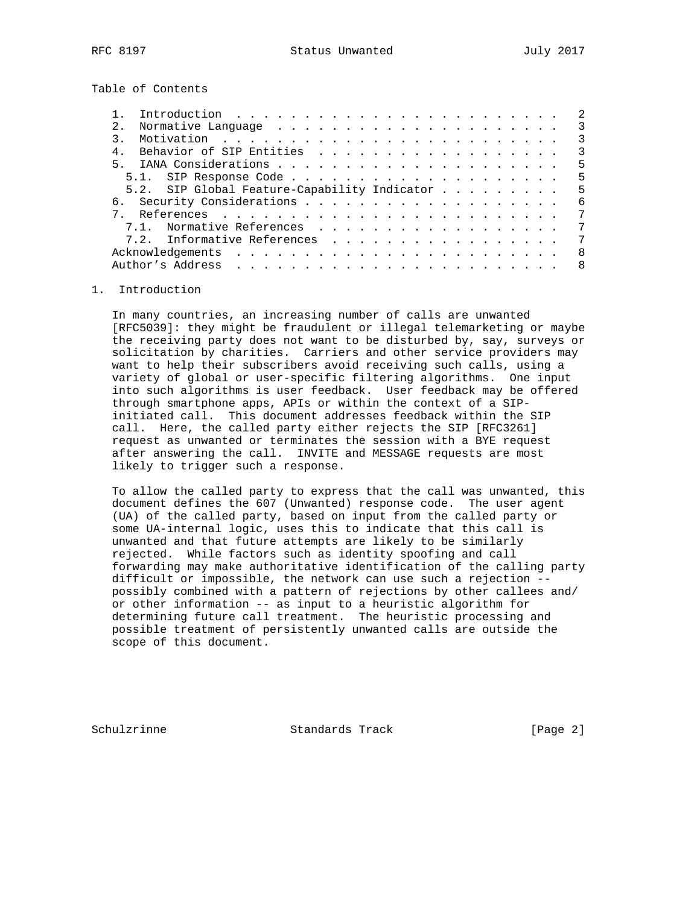Table of Contents

|       | Introduction $\ldots \ldots \ldots \ldots \ldots \ldots \ldots \ldots$ |  |  |  |  |    |
|-------|------------------------------------------------------------------------|--|--|--|--|----|
|       |                                                                        |  |  |  |  | 3  |
|       |                                                                        |  |  |  |  | 3  |
|       | Behavior of SIP Entities                                               |  |  |  |  | 3  |
| $5 -$ |                                                                        |  |  |  |  | 5  |
|       |                                                                        |  |  |  |  | 5  |
|       | 5.2. SIP Global Feature-Capability Indicator                           |  |  |  |  | .5 |
|       |                                                                        |  |  |  |  | -6 |
|       |                                                                        |  |  |  |  | 7  |
|       | 7.1. Normative References                                              |  |  |  |  | 7  |
|       | 7.2. Informative References                                            |  |  |  |  | 7  |
|       |                                                                        |  |  |  |  | 8  |
|       | Author's Address                                                       |  |  |  |  | 8  |
|       |                                                                        |  |  |  |  |    |

# 1. Introduction

 In many countries, an increasing number of calls are unwanted [RFC5039]: they might be fraudulent or illegal telemarketing or maybe the receiving party does not want to be disturbed by, say, surveys or solicitation by charities. Carriers and other service providers may want to help their subscribers avoid receiving such calls, using a variety of global or user-specific filtering algorithms. One input into such algorithms is user feedback. User feedback may be offered through smartphone apps, APIs or within the context of a SIP initiated call. This document addresses feedback within the SIP call. Here, the called party either rejects the SIP [RFC3261] request as unwanted or terminates the session with a BYE request after answering the call. INVITE and MESSAGE requests are most likely to trigger such a response.

 To allow the called party to express that the call was unwanted, this document defines the 607 (Unwanted) response code. The user agent (UA) of the called party, based on input from the called party or some UA-internal logic, uses this to indicate that this call is unwanted and that future attempts are likely to be similarly rejected. While factors such as identity spoofing and call forwarding may make authoritative identification of the calling party difficult or impossible, the network can use such a rejection - possibly combined with a pattern of rejections by other callees and/ or other information -- as input to a heuristic algorithm for determining future call treatment. The heuristic processing and possible treatment of persistently unwanted calls are outside the scope of this document.

Schulzrinne Standards Track [Page 2]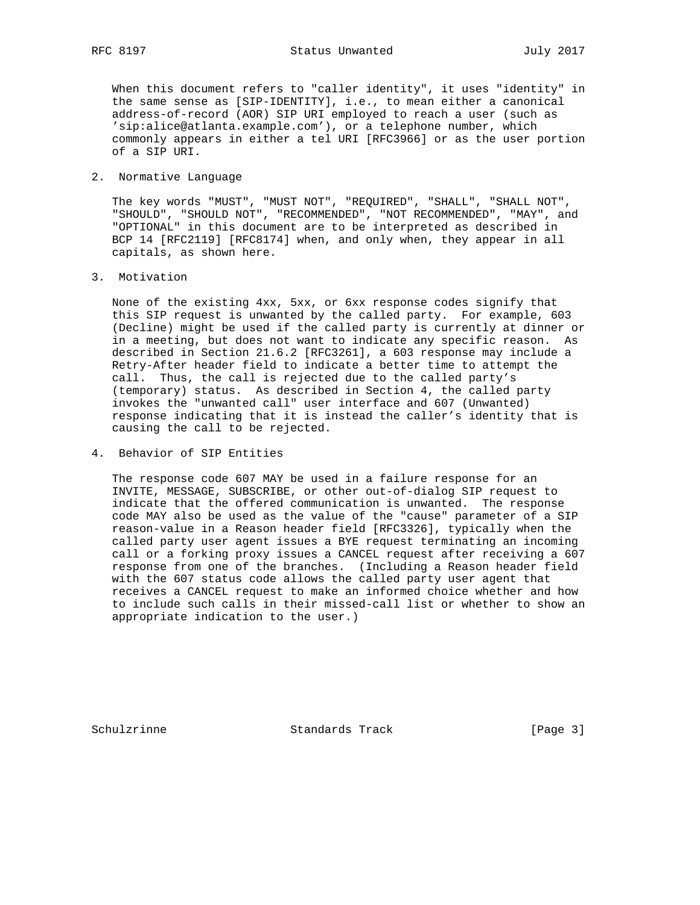When this document refers to "caller identity", it uses "identity" in the same sense as [SIP-IDENTITY], i.e., to mean either a canonical address-of-record (AOR) SIP URI employed to reach a user (such as 'sip:alice@atlanta.example.com'), or a telephone number, which commonly appears in either a tel URI [RFC3966] or as the user portion of a SIP URI.

### 2. Normative Language

 The key words "MUST", "MUST NOT", "REQUIRED", "SHALL", "SHALL NOT", "SHOULD", "SHOULD NOT", "RECOMMENDED", "NOT RECOMMENDED", "MAY", and "OPTIONAL" in this document are to be interpreted as described in BCP 14 [RFC2119] [RFC8174] when, and only when, they appear in all capitals, as shown here.

3. Motivation

 None of the existing 4xx, 5xx, or 6xx response codes signify that this SIP request is unwanted by the called party. For example, 603 (Decline) might be used if the called party is currently at dinner or in a meeting, but does not want to indicate any specific reason. As described in Section 21.6.2 [RFC3261], a 603 response may include a Retry-After header field to indicate a better time to attempt the call. Thus, the call is rejected due to the called party's (temporary) status. As described in Section 4, the called party invokes the "unwanted call" user interface and 607 (Unwanted) response indicating that it is instead the caller's identity that is causing the call to be rejected.

4. Behavior of SIP Entities

 The response code 607 MAY be used in a failure response for an INVITE, MESSAGE, SUBSCRIBE, or other out-of-dialog SIP request to indicate that the offered communication is unwanted. The response code MAY also be used as the value of the "cause" parameter of a SIP reason-value in a Reason header field [RFC3326], typically when the called party user agent issues a BYE request terminating an incoming call or a forking proxy issues a CANCEL request after receiving a 607 response from one of the branches. (Including a Reason header field with the 607 status code allows the called party user agent that receives a CANCEL request to make an informed choice whether and how to include such calls in their missed-call list or whether to show an appropriate indication to the user.)

Schulzrinne Standards Track [Page 3]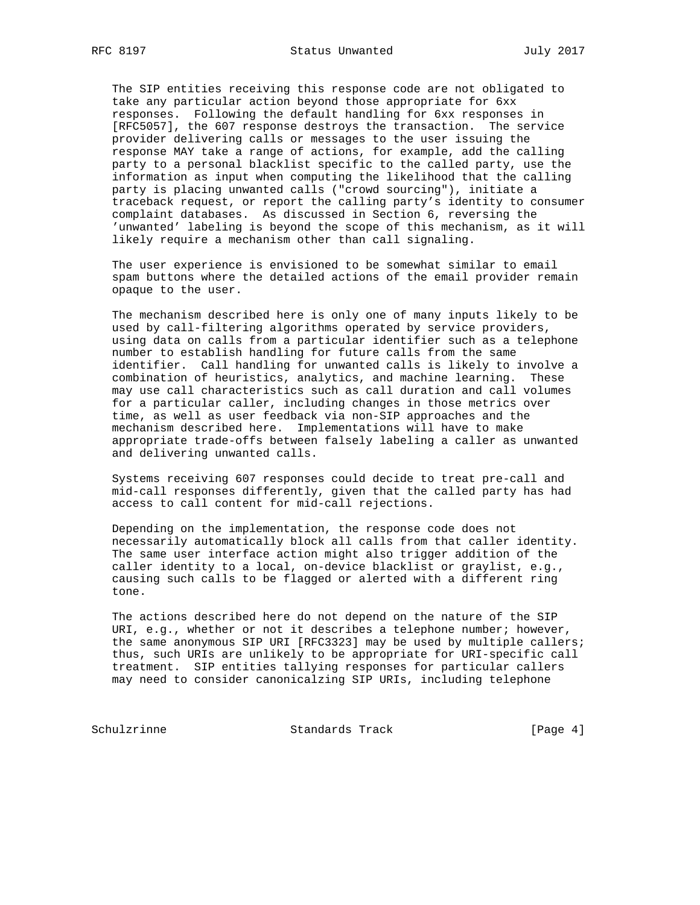The SIP entities receiving this response code are not obligated to take any particular action beyond those appropriate for 6xx responses. Following the default handling for 6xx responses in [RFC5057], the 607 response destroys the transaction. The service provider delivering calls or messages to the user issuing the response MAY take a range of actions, for example, add the calling party to a personal blacklist specific to the called party, use the information as input when computing the likelihood that the calling party is placing unwanted calls ("crowd sourcing"), initiate a traceback request, or report the calling party's identity to consumer complaint databases. As discussed in Section 6, reversing the 'unwanted' labeling is beyond the scope of this mechanism, as it will likely require a mechanism other than call signaling.

 The user experience is envisioned to be somewhat similar to email spam buttons where the detailed actions of the email provider remain opaque to the user.

 The mechanism described here is only one of many inputs likely to be used by call-filtering algorithms operated by service providers, using data on calls from a particular identifier such as a telephone number to establish handling for future calls from the same identifier. Call handling for unwanted calls is likely to involve a combination of heuristics, analytics, and machine learning. These may use call characteristics such as call duration and call volumes for a particular caller, including changes in those metrics over time, as well as user feedback via non-SIP approaches and the mechanism described here. Implementations will have to make appropriate trade-offs between falsely labeling a caller as unwanted and delivering unwanted calls.

 Systems receiving 607 responses could decide to treat pre-call and mid-call responses differently, given that the called party has had access to call content for mid-call rejections.

 Depending on the implementation, the response code does not necessarily automatically block all calls from that caller identity. The same user interface action might also trigger addition of the caller identity to a local, on-device blacklist or graylist, e.g., causing such calls to be flagged or alerted with a different ring tone.

 The actions described here do not depend on the nature of the SIP URI, e.g., whether or not it describes a telephone number; however, the same anonymous SIP URI [RFC3323] may be used by multiple callers; thus, such URIs are unlikely to be appropriate for URI-specific call treatment. SIP entities tallying responses for particular callers may need to consider canonicalzing SIP URIs, including telephone

Schulzrinne Standards Track [Page 4]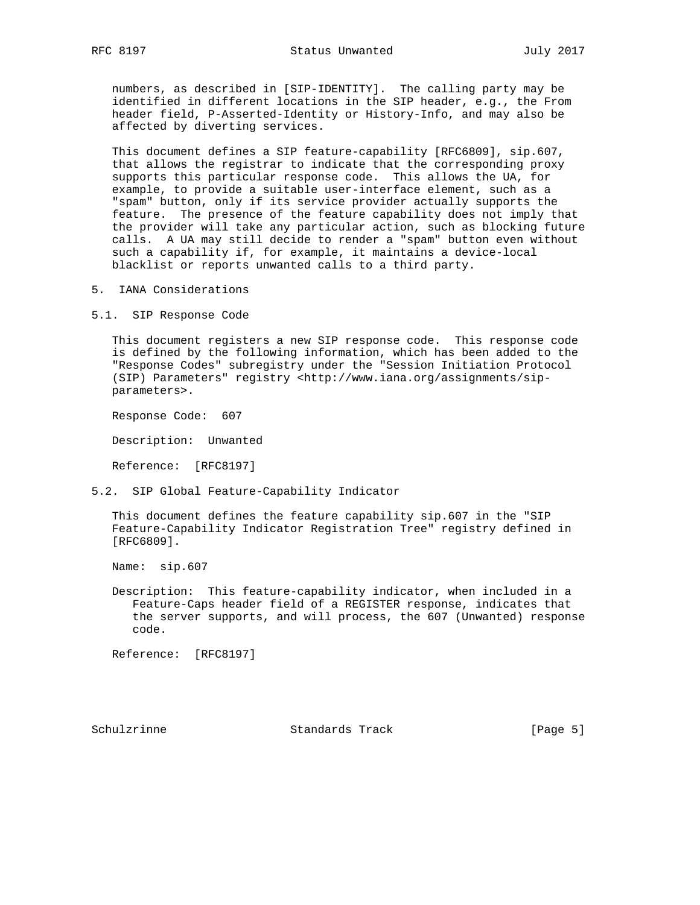numbers, as described in [SIP-IDENTITY]. The calling party may be identified in different locations in the SIP header, e.g., the From header field, P-Asserted-Identity or History-Info, and may also be affected by diverting services.

 This document defines a SIP feature-capability [RFC6809], sip.607, that allows the registrar to indicate that the corresponding proxy supports this particular response code. This allows the UA, for example, to provide a suitable user-interface element, such as a "spam" button, only if its service provider actually supports the feature. The presence of the feature capability does not imply that the provider will take any particular action, such as blocking future calls. A UA may still decide to render a "spam" button even without such a capability if, for example, it maintains a device-local blacklist or reports unwanted calls to a third party.

5. IANA Considerations

5.1. SIP Response Code

 This document registers a new SIP response code. This response code is defined by the following information, which has been added to the "Response Codes" subregistry under the "Session Initiation Protocol (SIP) Parameters" registry <http://www.iana.org/assignments/sip parameters>.

Response Code: 607

Description: Unwanted

Reference: [RFC8197]

5.2. SIP Global Feature-Capability Indicator

 This document defines the feature capability sip.607 in the "SIP Feature-Capability Indicator Registration Tree" registry defined in [RFC6809].

Name: sip.607

 Description: This feature-capability indicator, when included in a Feature-Caps header field of a REGISTER response, indicates that the server supports, and will process, the 607 (Unwanted) response code.

Reference: [RFC8197]

Schulzrinne Standards Track [Page 5]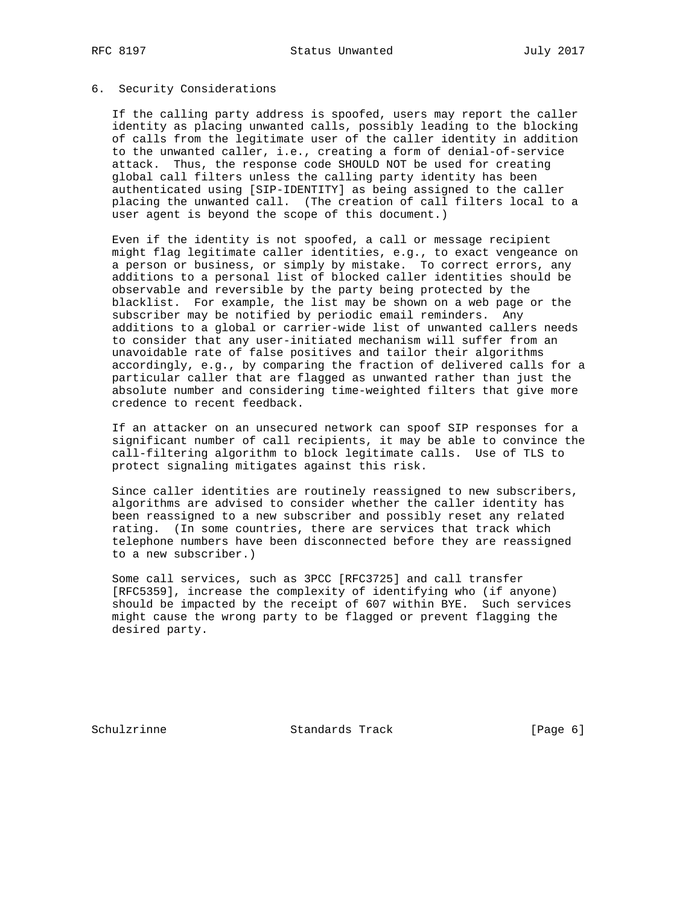## 6. Security Considerations

 If the calling party address is spoofed, users may report the caller identity as placing unwanted calls, possibly leading to the blocking of calls from the legitimate user of the caller identity in addition to the unwanted caller, i.e., creating a form of denial-of-service attack. Thus, the response code SHOULD NOT be used for creating global call filters unless the calling party identity has been authenticated using [SIP-IDENTITY] as being assigned to the caller placing the unwanted call. (The creation of call filters local to a user agent is beyond the scope of this document.)

 Even if the identity is not spoofed, a call or message recipient might flag legitimate caller identities, e.g., to exact vengeance on a person or business, or simply by mistake. To correct errors, any additions to a personal list of blocked caller identities should be observable and reversible by the party being protected by the blacklist. For example, the list may be shown on a web page or the subscriber may be notified by periodic email reminders. Any additions to a global or carrier-wide list of unwanted callers needs to consider that any user-initiated mechanism will suffer from an unavoidable rate of false positives and tailor their algorithms accordingly, e.g., by comparing the fraction of delivered calls for a particular caller that are flagged as unwanted rather than just the absolute number and considering time-weighted filters that give more credence to recent feedback.

 If an attacker on an unsecured network can spoof SIP responses for a significant number of call recipients, it may be able to convince the call-filtering algorithm to block legitimate calls. Use of TLS to protect signaling mitigates against this risk.

 Since caller identities are routinely reassigned to new subscribers, algorithms are advised to consider whether the caller identity has been reassigned to a new subscriber and possibly reset any related rating. (In some countries, there are services that track which telephone numbers have been disconnected before they are reassigned to a new subscriber.)

 Some call services, such as 3PCC [RFC3725] and call transfer [RFC5359], increase the complexity of identifying who (if anyone) should be impacted by the receipt of 607 within BYE. Such services might cause the wrong party to be flagged or prevent flagging the desired party.

Schulzrinne Standards Track [Page 6]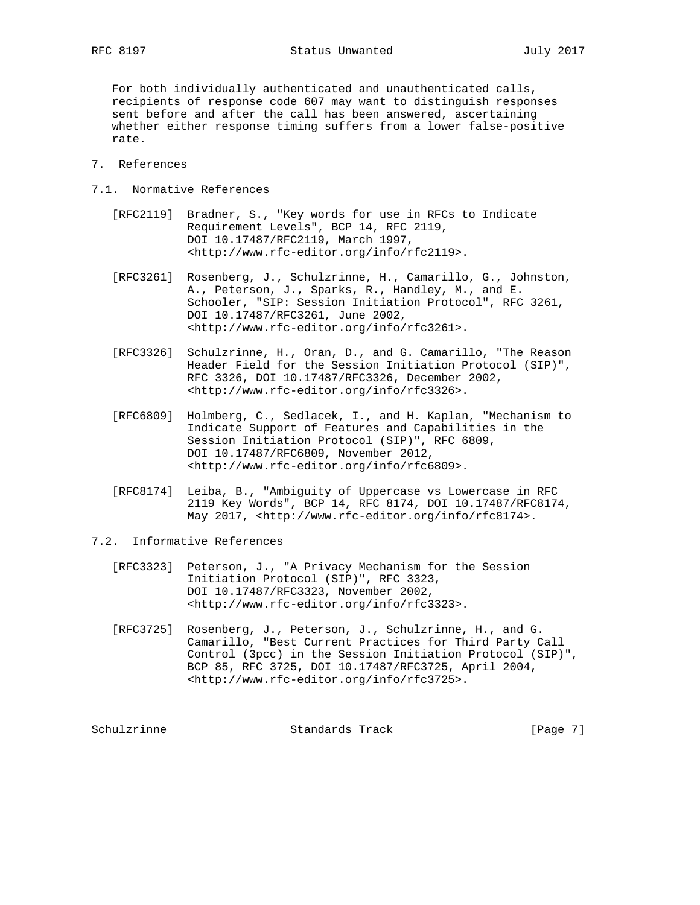RFC 8197 Status Unwanted July 2017

 For both individually authenticated and unauthenticated calls, recipients of response code 607 may want to distinguish responses sent before and after the call has been answered, ascertaining whether either response timing suffers from a lower false-positive rate.

# 7. References

- 7.1. Normative References
	- [RFC2119] Bradner, S., "Key words for use in RFCs to Indicate Requirement Levels", BCP 14, RFC 2119, DOI 10.17487/RFC2119, March 1997, <http://www.rfc-editor.org/info/rfc2119>.
	- [RFC3261] Rosenberg, J., Schulzrinne, H., Camarillo, G., Johnston, A., Peterson, J., Sparks, R., Handley, M., and E. Schooler, "SIP: Session Initiation Protocol", RFC 3261, DOI 10.17487/RFC3261, June 2002, <http://www.rfc-editor.org/info/rfc3261>.
	- [RFC3326] Schulzrinne, H., Oran, D., and G. Camarillo, "The Reason Header Field for the Session Initiation Protocol (SIP)", RFC 3326, DOI 10.17487/RFC3326, December 2002, <http://www.rfc-editor.org/info/rfc3326>.
	- [RFC6809] Holmberg, C., Sedlacek, I., and H. Kaplan, "Mechanism to Indicate Support of Features and Capabilities in the Session Initiation Protocol (SIP)", RFC 6809, DOI 10.17487/RFC6809, November 2012, <http://www.rfc-editor.org/info/rfc6809>.
	- [RFC8174] Leiba, B., "Ambiguity of Uppercase vs Lowercase in RFC 2119 Key Words", BCP 14, RFC 8174, DOI 10.17487/RFC8174, May 2017, <http://www.rfc-editor.org/info/rfc8174>.
- 7.2. Informative References
	- [RFC3323] Peterson, J., "A Privacy Mechanism for the Session Initiation Protocol (SIP)", RFC 3323, DOI 10.17487/RFC3323, November 2002, <http://www.rfc-editor.org/info/rfc3323>.
	- [RFC3725] Rosenberg, J., Peterson, J., Schulzrinne, H., and G. Camarillo, "Best Current Practices for Third Party Call Control (3pcc) in the Session Initiation Protocol (SIP)", BCP 85, RFC 3725, DOI 10.17487/RFC3725, April 2004, <http://www.rfc-editor.org/info/rfc3725>.

Schulzrinne Standards Track [Page 7]